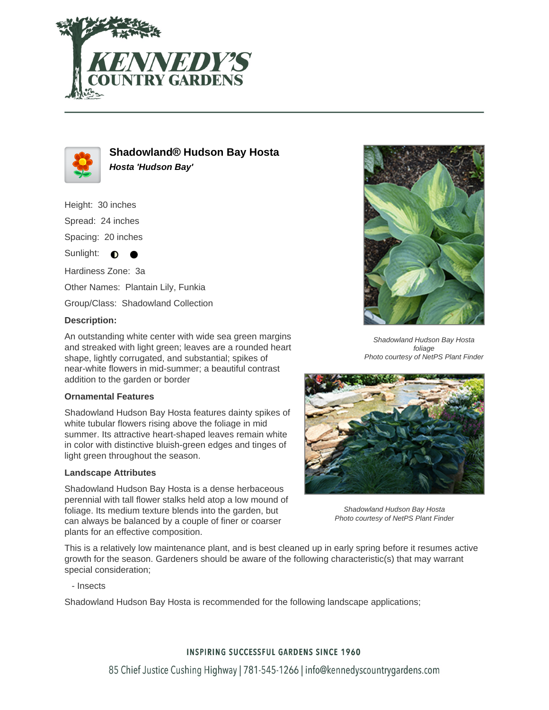



# **Shadowland® Hudson Bay Hosta Hosta 'Hudson Bay'**

Height: 30 inches Spread: 24 inches Spacing: 20 inches Sunlight:  $\bullet$ Hardiness Zone: 3a Other Names: Plantain Lily, Funkia

Group/Class: Shadowland Collection

# **Description:**

An outstanding white center with wide sea green margins and streaked with light green; leaves are a rounded heart shape, lightly corrugated, and substantial; spikes of near-white flowers in mid-summer; a beautiful contrast addition to the garden or border

### **Ornamental Features**

Shadowland Hudson Bay Hosta features dainty spikes of white tubular flowers rising above the foliage in mid summer. Its attractive heart-shaped leaves remain white in color with distinctive bluish-green edges and tinges of light green throughout the season.

#### **Landscape Attributes**

Shadowland Hudson Bay Hosta is a dense herbaceous perennial with tall flower stalks held atop a low mound of foliage. Its medium texture blends into the garden, but can always be balanced by a couple of finer or coarser plants for an effective composition.



Shadowland Hudson Bay Hosta foliage Photo courtesy of NetPS Plant Finder



Shadowland Hudson Bay Hosta Photo courtesy of NetPS Plant Finder

This is a relatively low maintenance plant, and is best cleaned up in early spring before it resumes active growth for the season. Gardeners should be aware of the following characteristic(s) that may warrant special consideration;

- Insects

Shadowland Hudson Bay Hosta is recommended for the following landscape applications;

# **INSPIRING SUCCESSFUL GARDENS SINCE 1960**